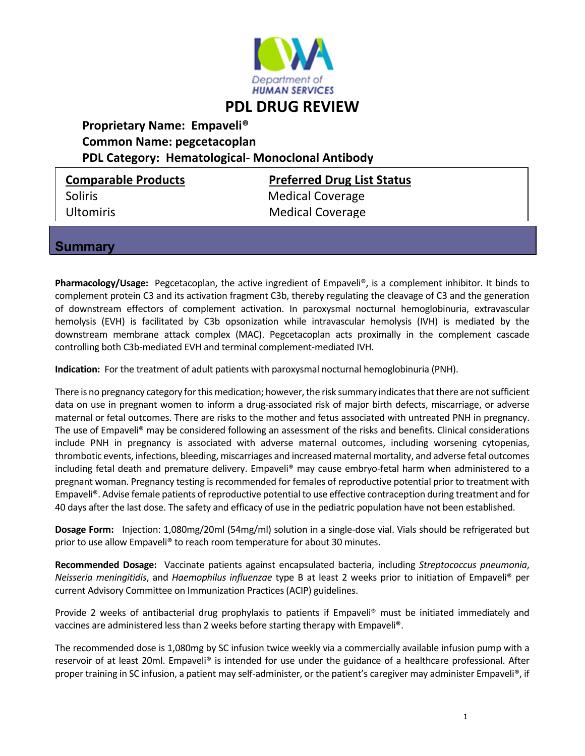

# **PDL DRUG REVIEW**

## **Proprietary Name: Empaveli® Common Name: pegcetacoplan PDL Category: Hematological‐ Monoclonal Antibody**

Soliris Medical Coverage

**Comparable Products Preferred Drug List Status** Ultomiris Medical Coverage

### **Summary**

Pharmacology/Usage: Pegcetacoplan, the active ingredient of Empaveli®, is a complement inhibitor. It binds to complement protein C3 and its activation fragment C3b, thereby regulating the cleavage of C3 and the generation of downstream effectors of complement activation. In paroxysmal nocturnal hemoglobinuria, extravascular hemolysis (EVH) is facilitated by C3b opsonization while intravascular hemolysis (IVH) is mediated by the downstream membrane attack complex (MAC). Pegcetacoplan acts proximally in the complement cascade controlling both C3b-mediated EVH and terminal complement-mediated IVH.

**Indication:** For the treatment of adult patients with paroxysmal nocturnal hemoglobinuria (PNH).

There is no pregnancy category for this medication; however, the risk summary indicates that there are not sufficient data on use in pregnant women to inform a drug‐associated risk of major birth defects, miscarriage, or adverse maternal or fetal outcomes. There are risks to the mother and fetus associated with untreated PNH in pregnancy. The use of Empaveli® may be considered following an assessment of the risks and benefits. Clinical considerations include PNH in pregnancy is associated with adverse maternal outcomes, including worsening cytopenias, thrombotic events, infections, bleeding, miscarriages and increased maternal mortality, and adverse fetal outcomes including fetal death and premature delivery. Empaveli<sup>®</sup> may cause embryo-fetal harm when administered to a pregnant woman. Pregnancy testing is recommended for females of reproductive potential prior to treatment with Empaveli®. Advise female patients ofreproductive potential to use effective contraception during treatment and for 40 days after the last dose. The safety and efficacy of use in the pediatric population have not been established.

**Dosage Form:** Injection: 1,080mg/20ml (54mg/ml) solution in a single‐dose vial. Vials should be refrigerated but prior to use allow Empaveli® to reach room temperature for about 30 minutes.

**Recommended Dosage:** Vaccinate patients against encapsulated bacteria, including *Streptococcus pneumonia*, *Neisseria meningitidis*, and *Haemophilus influenzae* type B at least 2 weeks prior to initiation of Empaveli® per current Advisory Committee on Immunization Practices(ACIP) guidelines.

Provide 2 weeks of antibacterial drug prophylaxis to patients if Empaveli® must be initiated immediately and vaccines are administered less than 2 weeks before starting therapy with Empaveli®.

The recommended dose is 1,080mg by SC infusion twice weekly via a commercially available infusion pump with a reservoir of at least 20ml. Empaveli® is intended for use under the guidance of a healthcare professional. After proper training in SC infusion, a patient may self-administer, or the patient's caregiver may administer Empaveli®, if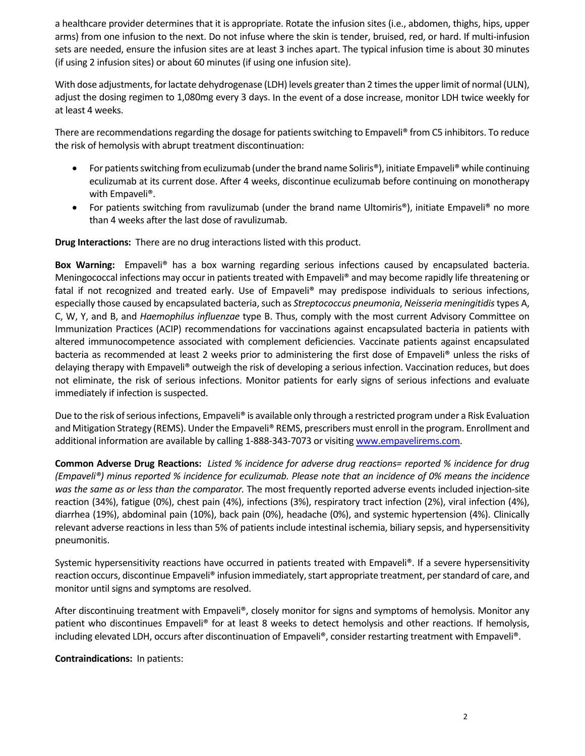a healthcare provider determines that it is appropriate. Rotate the infusion sites (i.e., abdomen, thighs, hips, upper arms) from one infusion to the next. Do not infuse where the skin is tender, bruised, red, or hard. If multi-infusion sets are needed, ensure the infusion sites are at least 3 inches apart. The typical infusion time is about 30 minutes (if using 2 infusion sites) or about 60 minutes (if using one infusion site).

With dose adjustments, for lactate dehydrogenase (LDH) levels greater than 2 times the upper limit of normal (ULN), adjust the dosing regimen to 1,080mg every 3 days. In the event of a dose increase, monitor LDH twice weekly for at least 4 weeks.

There are recommendations regarding the dosage for patients switching to Empaveli® from C5 inhibitors. To reduce the risk of hemolysis with abrupt treatment discontinuation:

- For patients switching from eculizumab (under the brand name Soliris®), initiate Empaveli® while continuing eculizumab at its current dose. After 4 weeks, discontinue eculizumab before continuing on monotherapy with Empaveli®.
- For patients switching from ravulizumab (under the brand name Ultomiris®), initiate Empaveli® no more than 4 weeks after the last dose of ravulizumab.

**Drug Interactions:** There are no drug interactions listed with this product.

**Box Warning:** Empaveli® has a box warning regarding serious infections caused by encapsulated bacteria. Meningococcal infections may occur in patients treated with Empaveli® and may become rapidly life threatening or fatal if not recognized and treated early. Use of Empaveli® may predispose individuals to serious infections, especially those caused by encapsulated bacteria, such as *Streptococcus pneumonia*, *Neisseria meningitidis* types A, C, W, Y, and B, and *Haemophilus influenzae* type B. Thus, comply with the most current Advisory Committee on Immunization Practices (ACIP) recommendations for vaccinations against encapsulated bacteria in patients with altered immunocompetence associated with complement deficiencies. Vaccinate patients against encapsulated bacteria as recommended at least 2 weeks prior to administering the first dose of Empaveli® unless the risks of delaying therapy with Empaveli® outweigh the risk of developing a serious infection. Vaccination reduces, but does not eliminate, the risk of serious infections. Monitor patients for early signs of serious infections and evaluate immediately if infection is suspected.

Due to the risk of serious infections, Empaveli® is available only through a restricted program under a Risk Evaluation and Mitigation Strategy (REMS). Under the Empaveli® REMS, prescribers must enroll in the program. Enrollment and additional information are available by calling 1-888-343-7073 or visiting www.empavelirems.com.

Common Adverse Drug Reactions: Listed % incidence for adverse drug reactions= reported % incidence for drug (Empaveli®) minus reported % incidence for eculizumab. Please note that an incidence of 0% means the incidence *was the same as or less than the comparator.* The most frequently reported adverse events included injection‐site reaction (34%), fatigue (0%), chest pain (4%), infections (3%), respiratory tract infection (2%), viral infection (4%), diarrhea (19%), abdominal pain (10%), back pain (0%), headache (0%), and systemic hypertension (4%). Clinically relevant adverse reactions in lessthan 5% of patients include intestinal ischemia, biliary sepsis, and hypersensitivity pneumonitis.

Systemic hypersensitivity reactions have occurred in patients treated with Empaveli®. If a severe hypersensitivity reaction occurs, discontinue Empaveli® infusion immediately, start appropriate treatment, per standard of care, and monitor until signs and symptoms are resolved.

After discontinuing treatment with Empaveli®, closely monitor for signs and symptoms of hemolysis. Monitor any patient who discontinues Empaveli® for at least 8 weeks to detect hemolysis and other reactions. If hemolysis, including elevated LDH, occurs after discontinuation of Empaveli®, consider restarting treatment with Empaveli®.

**Contraindications:** In patients: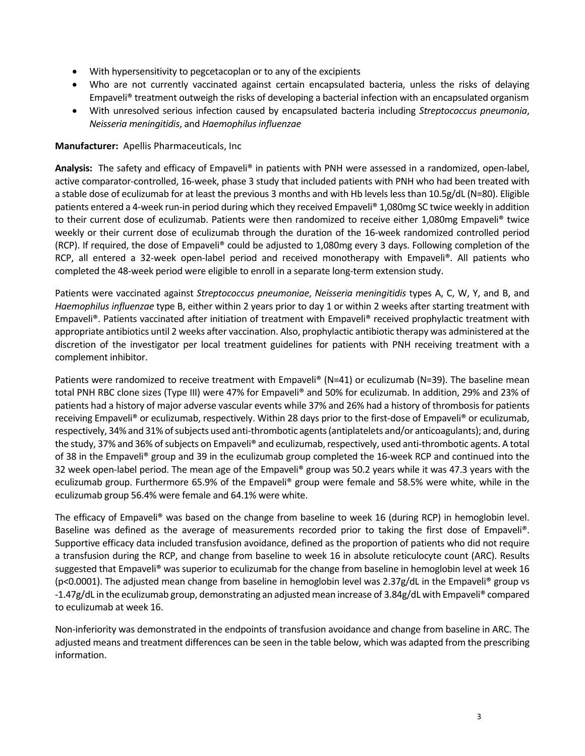- With hypersensitivity to pegcetacoplan or to any of the excipients
- Who are not currently vaccinated against certain encapsulated bacteria, unless the risks of delaying Empaveli® treatment outweigh the risks of developing a bacterial infection with an encapsulated organism
- With unresolved serious infection caused by encapsulated bacteria including *Streptococcus pneumonia*, *Neisseria meningitidis*, and *Haemophilus influenzae*

#### **Manufacturer:** Apellis Pharmaceuticals, Inc

**Analysis:** The safety and efficacy of Empaveli® in patients with PNH were assessed in a randomized, open‐label, active comparator‐controlled, 16‐week, phase 3 study that included patients with PNH who had been treated with a stable dose of eculizumab for at least the previous 3 months and with Hb levels less than 10.5g/dL (N=80). Eligible patients entered a 4‐week run‐in period during which they received Empaveli® 1,080mg SC twice weekly in addition to their current dose of eculizumab. Patients were then randomized to receive either 1,080mg Empaveli® twice weekly or their current dose of eculizumab through the duration of the 16-week randomized controlled period (RCP). If required, the dose of Empaveli® could be adjusted to 1,080mg every 3 days. Following completion of the RCP, all entered a 32-week open-label period and received monotherapy with Empaveli®. All patients who completed the 48‐week period were eligible to enroll in a separate long‐term extension study.

Patients were vaccinated against *Streptococcus pneumoniae*, *Neisseria meningitidis* types A, C, W, Y, and B, and *Haemophilus influenzae* type B, either within 2 years prior to day 1 or within 2 weeks after starting treatment with Empaveli®. Patients vaccinated after initiation of treatment with Empaveli® received prophylactic treatment with appropriate antibiotics until 2 weeks after vaccination. Also, prophylactic antibiotic therapy was administered at the discretion of the investigator per local treatment guidelines for patients with PNH receiving treatment with a complement inhibitor.

Patients were randomized to receive treatment with Empaveli® (N=41) or eculizumab (N=39). The baseline mean total PNH RBC clone sizes (Type III) were 47% for Empaveli® and 50% for eculizumab. In addition, 29% and 23% of patients had a history of major adverse vascular events while 37% and 26% had a history of thrombosis for patients receiving Empaveli<sup>®</sup> or eculizumab, respectively. Within 28 days prior to the first-dose of Empaveli<sup>®</sup> or eculizumab, respectively, 34% and 31% of subjects used anti-thrombotic agents (antiplatelets and/or anticoagulants); and, during the study, 37% and 36% of subjects on Empaveli® and eculizumab, respectively, used anti-thrombotic agents. A total of 38 in the Empaveli® group and 39 in the eculizumab group completed the 16‐week RCP and continued into the 32 week open-label period. The mean age of the Empaveli® group was 50.2 years while it was 47.3 years with the eculizumab group. Furthermore 65.9% of the Empaveli® group were female and 58.5% were white, while in the eculizumab group 56.4% were female and 64.1% were white.

The efficacy of Empaveli® was based on the change from baseline to week 16 (during RCP) in hemoglobin level. Baseline was defined as the average of measurements recorded prior to taking the first dose of Empaveli®. Supportive efficacy data included transfusion avoidance, defined as the proportion of patients who did not require a transfusion during the RCP, and change from baseline to week 16 in absolute reticulocyte count (ARC). Results suggested that Empaveli® was superior to eculizumab for the change from baseline in hemoglobin level at week 16 (p˂0.0001). The adjusted mean change from baseline in hemoglobin level was 2.37g/dL in the Empaveli® group vs ‐1.47g/dL in the eculizumab group, demonstrating an adjusted mean increase of 3.84g/dL with Empaveli® compared to eculizumab at week 16.

Non‐inferiority was demonstrated in the endpoints of transfusion avoidance and change from baseline in ARC. The adjusted means and treatment differences can be seen in the table below, which was adapted from the prescribing information.